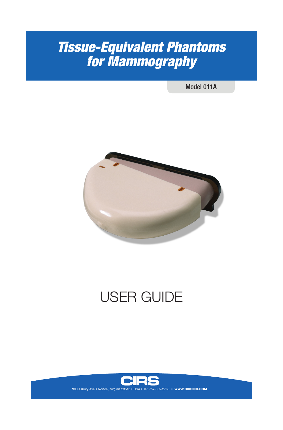# *Tissue-Equivalent Phantoms for Mammography*

Model 011A



# USER GUIDE



**WWW.CIRSINC.COM**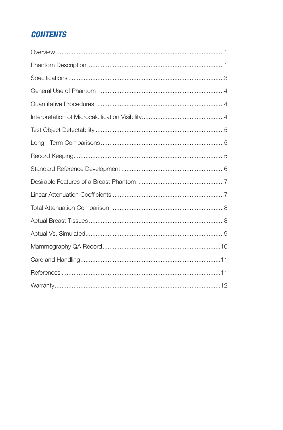# **CONTENTS**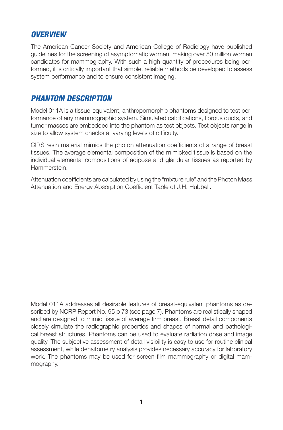#### *OVERVIEW*

The American Cancer Society and American College of Radiology have published guidelines for the screening of asymptomatic women, making over 50 million women candidates for mammography. With such a high-quantity of procedures being performed, it is critically important that simple, reliable methods be developed to assess system performance and to ensure consistent imaging.

#### *PHANTOM DESCRIPTION*

Model 011A is a tissue-equivalent, anthropomorphic phantoms designed to test performance of any mammographic system. Simulated calcifications, fibrous ducts, and tumor masses are embedded into the phantom as test objects. Test objects range in size to allow system checks at varying levels of difficulty.

CIRS resin material mimics the photon attenuation coefficients of a range of breast tissues. The average elemental composition of the mimicked tissue is based on the individual elemental compositions of adipose and glandular tissues as reported by Hammerstein.

Attenuation coefficients are calculated by using the "mixture rule" and the Photon Mass Attenuation and Energy Absorption Coefficient Table of J.H. Hubbell.

Model 011A addresses all desirable features of breast-equivalent phantoms as described by NCRP Report No. 95 p 73 (see page 7). Phantoms are realistically shaped and are designed to mimic tissue of average firm breast. Breast detail components closely simulate the radiographic properties and shapes of normal and pathological breast structures. Phantoms can be used to evaluate radiation dose and image quality. The subjective assessment of detail visibility is easy to use for routine clinical assessment, while densitometry analysis provides necessary accuracy for laboratory work. The phantoms may be used for screen-film mammography or digital mammography.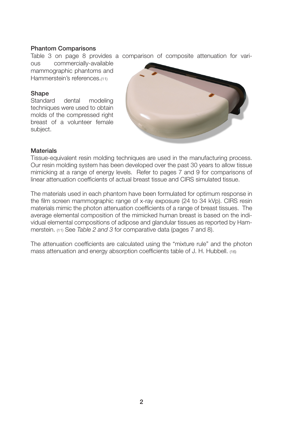#### Phantom Comparisons

Table 3 on page 8 provides a comparison of composite attenuation for vari-

ous commercially-available mammographic phantoms and Hammerstein's references.(11)

#### Shape

Standard dental modeling techniques were used to obtain molds of the compressed right breast of a volunteer female subject.



#### **Materials**

Tissue-equivalent resin molding techniques are used in the manufacturing process. Our resin molding system has been developed over the past 30 years to allow tissue mimicking at a range of energy levels. Refer to pages 7 and 9 for comparisons of linear attenuation coefficients of actual breast tissue and CIRS simulated tissue.

The materials used in each phantom have been formulated for optimum response in the film screen mammographic range of x-ray exposure (24 to 34 kVp). CIRS resin materials mimic the photon attenuation coefficients of a range of breast tissues. The average elemental composition of the mimicked human breast is based on the individual elemental compositions of adipose and glandular tissues as reported by Hammerstein. (11) See *Table 2 and 3* for comparative data (pages 7 and 8).

The attenuation coefficients are calculated using the "mixture rule" and the photon mass attenuation and energy absorption coefficients table of J. H. Hubbell. (16)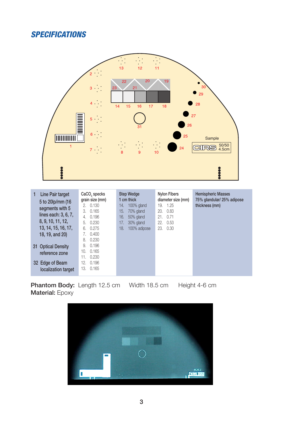### *SPECIFICATIONS*



| Line Pair target<br>5 to 20lp/mm (16)<br>segments with 5<br>lines each: 3, 6, 7,<br>8, 9, 10, 11, 12,<br>13, 14, 15, 16, 17,<br>18, 19, and 20) | CaCO <sub>3</sub> specks<br>grain size (mm)<br>2.0.130<br>0.165<br>3.<br>0.196<br>4.<br>0.230<br>5.<br>0.275<br>6.<br>0.400<br>7. | <b>Step Wedge</b><br>1 cm thick<br>100% gland<br>14.<br>15.<br>70% gland<br>16.<br>50% gland<br>30% gland<br>17.<br>18.<br>100% adipose | <b>Nylon Fibers</b><br>diameter size (mm)<br>1.25<br>19.<br>0.83<br>20.<br>0.71<br>21.<br>0.53<br>22.<br>0.30<br>23. | <b>Hemispheric Masses</b><br>75% glandular/ 25% adipose<br>thickness (mm) |
|-------------------------------------------------------------------------------------------------------------------------------------------------|-----------------------------------------------------------------------------------------------------------------------------------|-----------------------------------------------------------------------------------------------------------------------------------------|----------------------------------------------------------------------------------------------------------------------|---------------------------------------------------------------------------|
| 31 Optical Density<br>reference zone<br>32 Edge of Beam<br>localization target                                                                  | 0.230<br>8.<br>0.196<br>9.<br>0.165<br>10.<br>0.230<br>11.<br>0.196<br>12.<br>0.165<br>13.                                        |                                                                                                                                         |                                                                                                                      |                                                                           |

Phantom Body: Length 12.5 cm Width 18.5 cm Height 4-6 cm Material: Epoxy

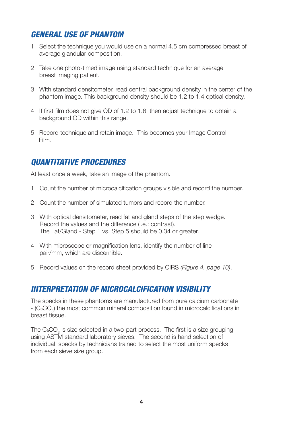### *GENERAL USE OF PHANTOM*

- 1. Select the technique you would use on a normal 4.5 cm compressed breast of average glandular composition.
- 2. Take one photo-timed image using standard technique for an average breast imaging patient.
- 3. With standard densitometer, read central background density in the center of the phantom image. This background density should be 1.2 to 1.4 optical density.
- 4. If first film does not give OD of 1.2 to 1.6, then adjust technique to obtain a background OD within this range.
- 5. Record technique and retain image. This becomes your Image Control Film.

#### *QUANTITATIVE PROCEDURES*

At least once a week, take an image of the phantom.

- 1. Count the number of microcalcification groups visible and record the number.
- 2. Count the number of simulated tumors and record the number.
- 3. With optical densitometer, read fat and gland steps of the step wedge. Record the values and the difference (i.e.: contrast). The Fat/Gland - Step 1 vs. Step 5 should be 0.34 or greater.
- 4. With microscope or magnification lens, identify the number of line pair/mm, which are discernible.
- 5. Record values on the record sheet provided by CIRS *(Figure 4, page 10)*.

#### *INTERPRETATION OF MICROCALCIFICATION VISIBILITY*

The specks in these phantoms are manufactured from pure calcium carbonate - (CaCO<sub>3</sub>) the most common mineral composition found in microcalcifications in breast tissue.

The CaCO<sub>3</sub> is size selected in a two-part process. The first is a size grouping using ASTM standard laboratory sieves. The second is hand selection of individual specks by technicians trained to select the most uniform specks from each sieve size group.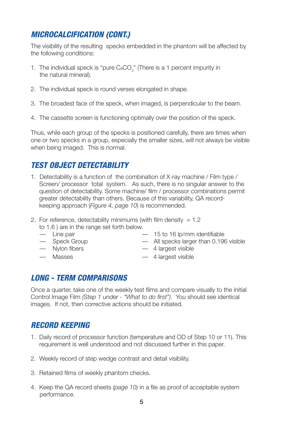# *MICROCALCIFICATION (CONT.)*

The visibility of the resulting specks embedded in the phantom will be affected by the following conditions:

- 1. The individual speck is "pure  $CaCO<sub>3</sub>$ " (There is a 1 percent impurity in the natural mineral).
- 2. The individual speck is round verses elongated in shape.
- 3. The broadest face of the speck, when imaged, is perpendicular to the beam.
- 4. The cassette screen is functioning optimally over the position of the speck.

Thus, while each group of the specks is positioned carefully, there are times when one or two specks in a group, especially the smaller sizes, will not always be visible when being imaged. This is normal.

# *TEST OBJECT DETECTABILITY*

- 1. Detectability is a function of the combination of X-ray machine / Film type / Screen/ processor total system. As such, there is no singular answer to the question of detectability. Some machine/ film / processor combinations permit greater detectability than others. Because of this variability, QA record keeping approach (*Figure 4, page 10*) is recommended.
- 2. For reference, detectability minimums (with film density  $= 1.2$ )
	- to 1.6 ) are in the range set forth below.
	-
	-
	- Line pair 15 to 16 lp/mm identifiable
	- Speck Group All specks larger than 0.196 visible
	- Nylon fibers 4 largest visible
	- Masses 4 largest visible
- 

# *LONG - TERM COMPARISONS*

Once a quarter, take one of the weekly test films and compare visually to the initial Control Image Film *(Step 1 under - "What to do first")*. You should see identical images. If not, then corrective actions should be initiated.

# *RECORD KEEPING*

- 1. Daily record of processor function (temperature and OD of Step 10 or 11). This requirement is well understood and not discussed further in this paper.
- 2. Weekly record of step wedge contrast and detail visibility.
- 3. Retained films of weekly phantom checks.
- 4. Keep the QA record sheets *(page 10)* in a file as proof of acceptable system performance.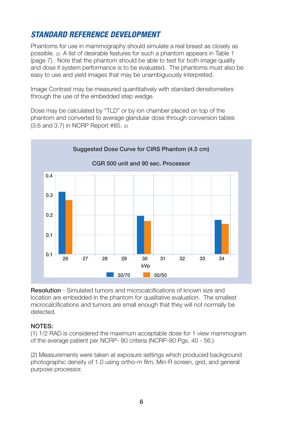# *STANDARD REFERENCE DEVELOPMENT*

Phantoms for use in mammography should simulate a real breast as closely as possible. (2) A list of desirable features for such a phantom appears in Table 1 (page 7). Note that the phantom should be able to test for both image quality and dose if system performance is to be evaluated. The phantoms must also be easy to use and yield images that may be unambiguously interpreted.

Image Contrast may be measured quantitatively with standard densitometers through the use of the embedded step wedge.

Dose may be calculated by "TLD" or by ion chamber placed on top of the phantom and converted to average glandular dose through conversion tables (3.6 and 3.7) in NCRP Report #85. (2)



Resolution - Simulated tumors and microcalcifications of known size and location are embedded in the phantom for qualitative evaluation. The smallest microcalcifications and tumors are small enough that they will not normally be detected.

#### NOTES:

(1) 1/2 RAD is considered the maximum acceptable dose for 1 view mammogram of the average patient per NCRP- 80 criteria (NCRP-80 Pgs. 40 - 56.)

(2) Measurements were taken at exposure settings which produced background photographic density of 1.0 using ortho-m film, Min-R screen, grid, and general purpose processor.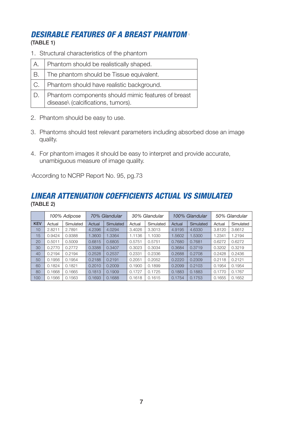# *DESIRABLE FEATURES OF A BREAST PHANTOM* <sup>1</sup>

(TABLE 1)

1. Structural characteristics of the phantom

| А.  | Phantom should be realistically shaped.                                                  |
|-----|------------------------------------------------------------------------------------------|
| IB. | The phantom should be Tissue equivalent.                                                 |
| 'С. | Phantom should have realistic background.                                                |
| D.  | Phantom components should mimic features of breast<br>disease\ (calcifications, tumors). |

- 2. Phantom should be easy to use.
- 3. Phantoms should test relevant parameters including absorbed dose an image quality.
- 4. For phantom images it should be easy to interpret and provide accurate, unambiguous measure of image quality.

According to NCRP Report No. 95, pg.73

#### *LINEAR ATTENUATION COEFFICIENTS ACTUAL VS SIMULATED* (TABLE 2)

|            |        | 100% Adipose |        | 70% Glandular |        | 30% Glandular |        | 100% Glandular |        | 50% Glandular |
|------------|--------|--------------|--------|---------------|--------|---------------|--------|----------------|--------|---------------|
| <b>KEV</b> | Actual | Simulated    | Actual | Simulated     | Actual | Simulated     | Actual | Simulated      | Actual | Simulated     |
| 10         | 2.8211 | 2.7891       | 4.2396 | 4.0294        | 3.4026 | 3.3013        | 4.9195 | 4.6330         | 3.8120 | 3.6612        |
| 15         | 0.9424 | 0.9388       | 1.3600 | 1.3364        | 1.1136 | 1.1030        | 1.5602 | 1.5300         | 1.2341 | 1.2194        |
| 20         | 0.5011 | 0.5009       | 0.6815 | 0.6805        | 0.5751 | 0.5751        | 0.7680 | 0.7681         | 0.6272 | 0.6272        |
| 30         | 0.2770 | 0.2772       | 0.3388 | 0.3407        | 0.3023 | 0.3034        | 0.3684 | 0.3719         | 0.3202 | 0.3219        |
| 40         | 0.2194 | 0.2194       | 0.2528 | 0.2537        | 0.2331 | 0.2336        | 0.2688 | 0.2708         | 0.2428 | 0.2436        |
| 50         | 0.1956 | 0.1954       | 0.2188 | 0.2191        | 0.2051 | 0.2052        | 0.2220 | 0.2309         | 0.2118 | 0.2121        |
| 60         | 0.1824 | 0.1821       | 0.2010 | 0.2009        | 0.1900 | 0.1899        | 0.2099 | 0.2103         | 0.1954 | 0.1954        |
| 80         | 0.1668 | 0.1665       | 0.1813 | 0.1909        | 0.1727 | 0.1725        | 0.1883 | 0.1883         | 0.1770 | 0.1767        |
| 100        | 0.1566 | 0.1563       | 0.1693 | 0.1688        | 0.1618 | 0.1615        | 0.1754 | 0.1753         | 0.1655 | 0.1652        |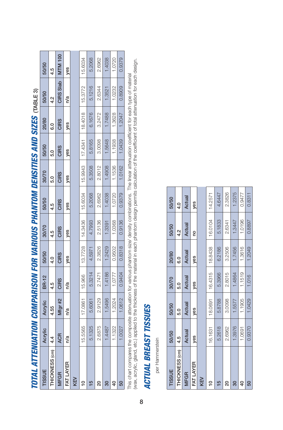| TISSUE          | Acrylic    | Acrylic | <b>BR-12</b> | 50/50         | 30/70       | 50/50       | 30/70       | 50/50         | 20/80       | 50/50     | 50/50          |
|-----------------|------------|---------|--------------|---------------|-------------|-------------|-------------|---------------|-------------|-----------|----------------|
| THICKNESS (cm)  | 4.4        | 4.55    | 4.5          | $\frac{1}{2}$ | 4.5         | 4.5         | S.O         | $\frac{0}{2}$ | co          | 4.2       | 4.5            |
| <b>MFGR</b>     | <b>ACR</b> | Mfgr#2  | <b>CIRS</b>  | <b>CIRS</b>   | <b>CIRS</b> | <b>CIRS</b> | <b>CIRS</b> | <b>CIRS</b>   | <b>CIRS</b> | CIRS Slab | <b>MTM 100</b> |
| FAT LAYER       | n/a        | n/a     | n/a          | yes           | yes         | yes         | yes         | yes           | yes         | n/a       | yes            |
| KEV             |            |         |              |               |             |             |             |               |             |           |                |
| $\tilde{=}$     | 15.5565    | 17.0861 | 15.966       | 13.7728       | 14.3436     | 15.6034     | 15.9943     | 17.4341       | 18.4018     | 15.3772   | 15.6034        |
| 15              | 5.1325     | 5.6061  | 5.3214       | 4.5971        | 4.7993      | 5.2068      | 5.3508      | 5.8165        | 6.1676      | 5.1216    | 5.2068         |
| 8               | 2.6875     | 2.9129  | 2.7471       | 2.3826        | 2.5136      | 2.6962      | 2.8012      | 3.0098        | 3.2472      | 2.6344    | 2.6962         |
| $\overline{30}$ | 18487      | .5496   | 1.4186       | .2429         | .3391       | .4038       | .4908       | .5648         | 1.7488      | .3521     | .4038          |
| $\overline{6}$  | 1.1322     | .2024   | 1.0777       | 0.9502        | 1.0368      | 1.0720      | 1.1536      | 1.1938        | .3628       | 1.0232    | 1.0720         |
| S <sub>0</sub>  | 1.0027     | .0612   | 0.9404       | 0.8318        | 0.9136      | 0.9379      | 1.0162      | 1.0439        | .2047       | 0.8909    | 0.9379         |

TOTAL ATTENIIATION COMPARISON FOR VARIOUS PHANTOM DENSITIES AND SIZES made a *TOTAL ATTENUATION COMPARISON FOR VARIOUS PHANTOM DENSITIES AND SIZES* (TABLE 3) This chart compares the composite attenuation for various phantom size/ density combinations. The linear attenuation coefficient for each type of material<br>(wax, acrylic, gland, etc.) applied to the thickness of the materia (wax, acrylic, gland, etc.) applied to the thickness of the material in each phantom design permits calculation of the coefficient of total attenuation for each design. This chart compares the composite attenuation for various phantom size/ density combinations. The linear attenuation coefficient for each type of material

# **ACTUAL BREAST TISSUES** *ACTUAL BREAST TISSUES*

per Hammerstein per Hammerstein

| <b>TISSUE</b>  | 50/50   | 50/50    | 30/70       | 20/80    | 50/50   | 50/50         |
|----------------|---------|----------|-------------|----------|---------|---------------|
| THICKNESS (cm) | 4.5     | <u>ნ</u> | <b>S.</b> 0 | <u>င</u> | 4.2     | $\frac{1}{4}$ |
| <b>MFGR</b>    | Actual  | Actual   | Actual      | Actual   | Actual  | Actual        |
| FAT LAYER      | yes     | yes      | yes         | yes      | g       | yes           |
| KEV            |         |          |             |          |         |               |
| $\tilde{=}$    | 16.1631 | 18.0691  | 16.4315     | 18.8438  | 16.0104 | 14.2571       |
| $\frac{5}{2}$  | 5.2618  | 5.8788   | 5.3966      | 6.2186   | 5.1833  | 4.6447        |
| 8              | 2.6962  | 3.0098   | 2.8015      | 3.2506   | 2.6341  | 2.3826        |
| 30             | 1.3976  | 1.5577   | .4864       | 1.7456   | 1.3447  | 1.2375        |
| $\overline{a}$ | 1.0691  | 1.1905   | 1.1519      | 1.3616   | 1.0196  | 0.9477        |
| 50             | 0.9370  | 1.0429   | 1.016       | 1.2049   | 0.8897  | 0.8311        |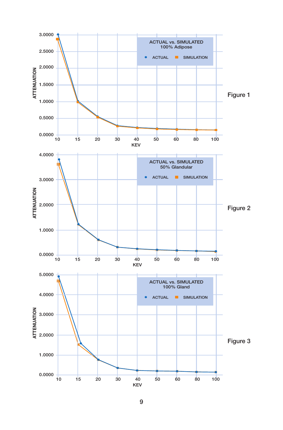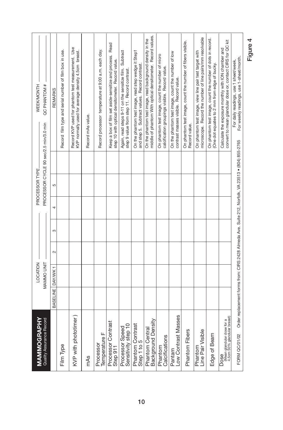| <b>MAMMOGRAPHY</b><br>Quality Assurance Record                           |                     | MAMMO UNIT<br>LOCATION |        |   |   | PROCESSOR TYPE                                                                                    | QC PHANTOM #<br><b>WEEK/MONTH</b><br>PROCESSOR CYCLE 90 sec/2.5 min/3.0 min                                              |
|--------------------------------------------------------------------------|---------------------|------------------------|--------|---|---|---------------------------------------------------------------------------------------------------|--------------------------------------------------------------------------------------------------------------------------|
|                                                                          | BASELINE   DAY/WK 1 |                        | $\sim$ | က | 4 | 5                                                                                                 | <b>REMARKS</b>                                                                                                           |
| Film Type                                                                |                     |                        |        |   |   |                                                                                                   | Record film type and serial number of film box in use.                                                                   |
| KVP with phototimer)                                                     |                     |                        |        |   |   |                                                                                                   | Record KVP used for phantom test measurement. Use<br>KVP normally used for average density 4.5cm breast.                 |
| mAs                                                                      |                     |                        |        |   |   |                                                                                                   | Record mAs value.                                                                                                        |
| Temperature F<br>Processor                                               |                     |                        |        |   |   |                                                                                                   | Record processor temperature at 9:00 a.m. each day.                                                                      |
| Processor Contrast<br>Step 911                                           |                     |                        |        |   |   |                                                                                                   | Keep a box of film set aside-sensitize and process. Read<br>step 10 with optical densitometer. Record value.             |
| Processor Speed<br>Sensitivity step 10                                   |                     |                        |        |   |   |                                                                                                   | Again, read steps 9-11 on the sensitize film. Subtract<br>step 9 value from step 11. Record contrast.                    |
| Phantom Contrast<br>Step 1 to 5                                          |                     |                        |        |   |   |                                                                                                   | On the phantom test image, read step wedge it Step1<br>and step 5. Subtract values. Record contrast.                     |
| Background Density<br>Phantom Central                                    |                     |                        |        |   |   |                                                                                                   | middle of phantom With optical densitometer. Record values.<br>On the phantom test image, read background density in the |
| Calcifications<br>Phantom                                                |                     |                        |        |   |   |                                                                                                   | On phantom test image, count the number of micro<br>calcification groupings visible. Record value.                       |
| Low Contrast Masses<br>Pantam                                            |                     |                        |        |   |   |                                                                                                   | On the phantom test image, count the number of low<br>contrast masses visible. Record value.                             |
| Phantom Fibers                                                           |                     |                        |        |   |   |                                                                                                   | On phantom test image, count the number of fibers visible.<br>Record value.                                              |
| Line Pair Visible<br>Phantom                                             |                     |                        |        |   |   |                                                                                                   | microscope. Record the number of line pairs/mm resolvable<br>On phantom test image, view line pair test target with      |
| Edge of Beam                                                             |                     |                        |        |   |   |                                                                                                   | On phantom test image, count the number of dots in record.<br>(One dot equates to 2 mm from edge of bucky.               |
| <b>DOSe</b><br>(Mean glandular dose for a<br>4.5cm 50% glandular breast) |                     |                        |        |   |   |                                                                                                   | convert to mean glandular dose or, contact CIRS for QC kit<br>Calculate the exposure monthly with ION chamber and        |
| FORM QC/01/02                                                            |                     |                        |        |   |   | Order replacement forms from: CIRS 2428 Almeda Ave. Suite 212, Norfolk, VA 23513 • (804) 855-2765 | For weekly readings, use 1-sheet/month.<br>For daily readings, use 1 sheet/week.                                         |

Figure 4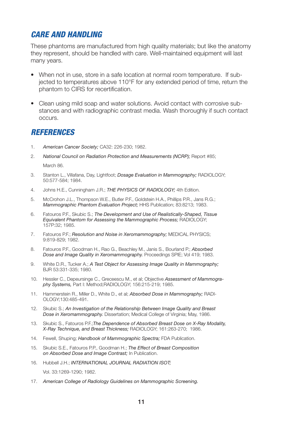#### *CARE AND HANDLING*

These phantoms are manufactured from high quality materials; but like the anatomy they represent, should be handled with care. Well-maintained equipment will last many years.

- When not in use, store in a safe location at normal room temperature. If subjected to temperatures above 110°F for any extended period of time, return the phantom to CIRS for recertification.
- Clean using mild soap and water solutions. Avoid contact with corrosive substances and with radiographic contrast media. Wash thoroughly if such contact occurs.

#### *REFERENCES*

- 1. *American Cancer Society;* CA32: 226-230; 1982.
- 2. *National Council on Radiation Protection and Measurements (NCRP);* Report #85; March 86.
- 3. Stanton L., Villafana, Day, Lightfoot; *Dosage Evaluation in Mammography;* RADIOLOGY; 50:577-584; 1984.
- 4. Johns H.E., Cunningham J.R.; *THE PHYSICS OF RADIOLOGY;* 4th Edition.
- 5. McCrohon J.L., Thompson W.E., Butler P.F., Goldstein H.A., Phillips P.R., Jans R.G.; *Mammographic Phantom Evaluation Project;* HHS Publication; 83:8213; 1983.
- 6. Fatouros P.F., Skubic S.; *The Development and Use of Realistically-Shaped, Tissue Equivalent Phantom for Assessing the Mammographic Process;* RADIOLOGY; 157P:32; 1985.
- 7. Fatouros P.F.; *Resolution and Noise in Xeromammography;* MEDICAL PHYSICS; 9:819-829; 1982.
- 8. Fatouros P.F., Goodman H., Rao G., Beachley M., Janis S., Bourland P.; *Absorbed Dose and Image Quality in Xeromammography.* Proceedings SPIE; Vol 419; 1983.
- 9. White D.R., Tucker A.; *A Test Object for Assessing Image Quality in Mammography;*  BJR 53:331-335; 1980.
- 10. Hessler C., Depeursinge C., Greceescu M., et al; Objective *Assessment of Mammography Systems,* Part I: Method;RADIOLOGY; 156:215-219; 1985.
- 11. Hammerstein R., Miller D., White D., et al; *Absorbed Dose in Mammography;* RADI-OLOGY;130:485-491.
- 12. Skubic S.; *An Investigation of the Relationship Between Image Quality and Breast Dose in Xeromammography.* Dissertation; Medical College of Virginia; May, 1986.
- 13. Skubic S., Fatouros P.F.;*The Dependence of Absorbed Breast Dose on X-Ray Modality, X-Ray Technique, and Breast Thickness;* RADIOLOGY; 161:263-270; 1986.
- 14. Fewell, Shuping; *Handbook of Mammographic Spectra;* FDA Publication.
- 15. Skubic S.E., Fatouros P.P., Goodman H.; *The Effect of Breast Composition on Absorbed Dose and Image Contrast;* In Publication.
- 16. Hubbell J.H.; *INTERNATIONAL JOURNAL RADIATION ISOT;*  Vol. 33:1269-1290; 1982.
	-
- 17. *American College of Radiology Guidelines on Mammographic Screening.*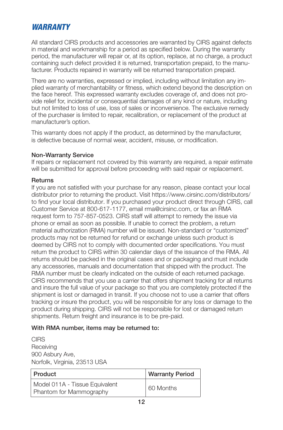#### *WARRANTY*

All standard CIRS products and accessories are warranted by CIRS against defects in material and workmanship for a period as specified below. During the warranty period, the manufacturer will repair or, at its option, replace, at no charge, a product containing such defect provided it is returned, transportation prepaid, to the manufacturer. Products repaired in warranty will be returned transportation prepaid.

There are no warranties, expressed or implied, including without limitation any implied warranty of merchantability or fitness, which extend beyond the description on the face hereof. This expressed warranty excludes coverage of, and does not provide relief for, incidental or consequential damages of any kind or nature, including but not limited to loss of use, loss of sales or inconvenience. The exclusive remedy of the purchaser is limited to repair, recalibration, or replacement of the product at manufacturer's option.

This warranty does not apply if the product, as determined by the manufacturer, is defective because of normal wear, accident, misuse, or modification.

#### Non-Warranty Service

If repairs or replacement not covered by this warranty are required, a repair estimate will be submitted for approval before proceeding with said repair or replacement.

#### Returns

If you are not satisfied with your purchase for any reason, please contact your local distributor prior to returning the product. Visit https://www.cirsinc.com/distributors/ to find your local distributor. If you purchased your product direct through CIRS, call Customer Service at 800-617-1177, email rma@cirsinc.com, or fax an RMA request form to 757-857-0523. CIRS staff will attempt to remedy the issue via phone or email as soon as possible. If unable to correct the problem, a return material authorization (RMA) number will be issued. Non-standard or "customized" products may not be returned for refund or exchange unless such product is deemed by CIRS not to comply with documented order specifications. You must return the product to CIRS within 30 calendar days of the issuance of the RMA. All returns should be packed in the original cases and or packaging and must include any accessories, manuals and documentation that shipped with the product. The RMA number must be clearly indicated on the outside of each returned package. CIRS recommends that you use a carrier that offers shipment tracking for all returns and insure the full value of your package so that you are completely protected if the shipment is lost or damaged in transit. If you choose not to use a carrier that offers tracking or insure the product, you will be responsible for any loss or damage to the product during shipping. CIRS will not be responsible for lost or damaged return shipments. Return freight and insurance is to be pre-paid.

#### With RMA number, items may be returned to:

**CIRS Receiving** 900 Asbury Ave, Norfolk, Virginia, 23513 USA

| Product                                                          | <b>Warranty Period</b> |
|------------------------------------------------------------------|------------------------|
| Model 011A - Tissue Equivalent<br><b>Phantom for Mammography</b> | 60 Months              |